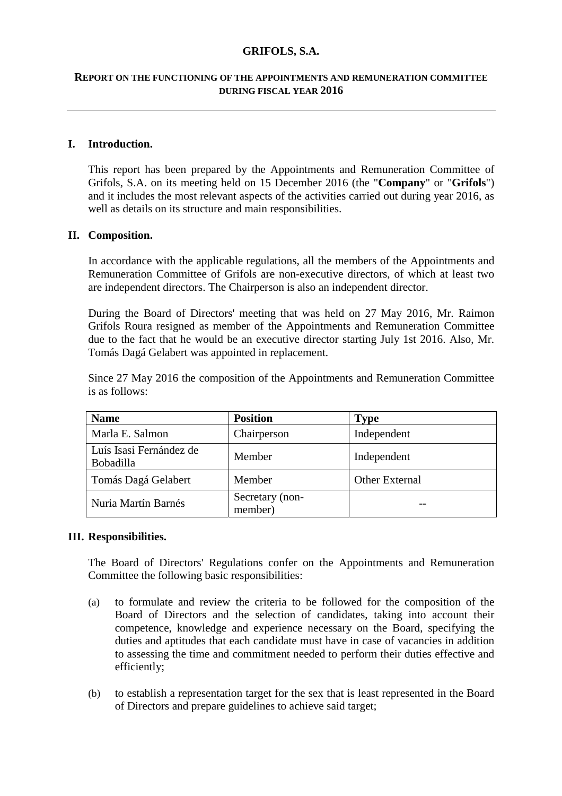# **GRIFOLS, S.A.**

## **REPORT ON THE FUNCTIONING OF THE APPOINTMENTS AND REMUNERATION COMMITTEE DURING FISCAL YEAR 2016**

# **I. Introduction.**

This report has been prepared by the Appointments and Remuneration Committee of Grifols, S.A. on its meeting held on 15 December 2016 (the "**Company**" or "**Grifols**") and it includes the most relevant aspects of the activities carried out during year 2016, as well as details on its structure and main responsibilities.

#### **II. Composition.**

In accordance with the applicable regulations, all the members of the Appointments and Remuneration Committee of Grifols are non-executive directors, of which at least two are independent directors. The Chairperson is also an independent director.

During the Board of Directors' meeting that was held on 27 May 2016, Mr. Raimon Grifols Roura resigned as member of the Appointments and Remuneration Committee due to the fact that he would be an executive director starting July 1st 2016. Also, Mr. Tomás Dagá Gelabert was appointed in replacement.

Since 27 May 2016 the composition of the Appointments and Remuneration Committee is as follows:

| <b>Name</b>                                 | <b>Position</b>            | <b>Type</b>    |
|---------------------------------------------|----------------------------|----------------|
| Marla E. Salmon                             | Chairperson                | Independent    |
| Luís Isasi Fernández de<br><b>Bobadilla</b> | Member                     | Independent    |
| Tomás Dagá Gelabert                         | Member                     | Other External |
| Nuria Martín Barnés                         | Secretary (non-<br>member) |                |

## **III. Responsibilities.**

The Board of Directors' Regulations confer on the Appointments and Remuneration Committee the following basic responsibilities:

- (a) to formulate and review the criteria to be followed for the composition of the Board of Directors and the selection of candidates, taking into account their competence, knowledge and experience necessary on the Board, specifying the duties and aptitudes that each candidate must have in case of vacancies in addition to assessing the time and commitment needed to perform their duties effective and efficiently;
- (b) to establish a representation target for the sex that is least represented in the Board of Directors and prepare guidelines to achieve said target;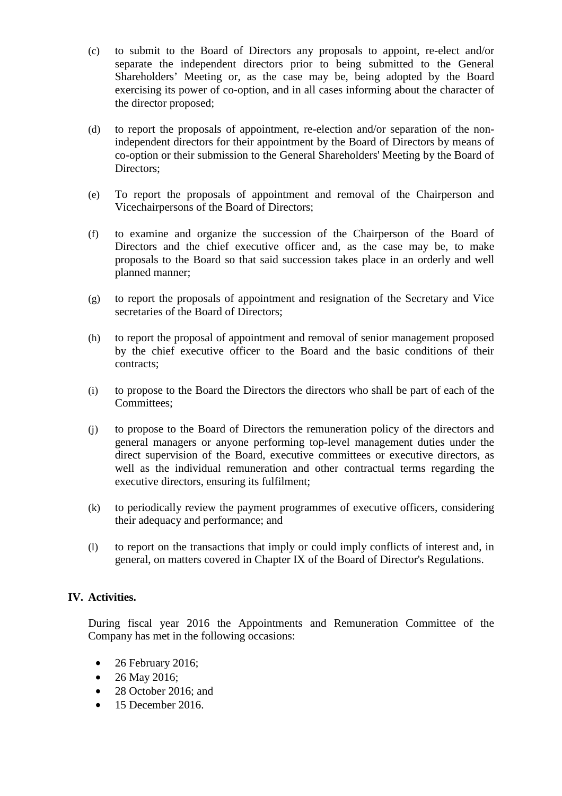- (c) to submit to the Board of Directors any proposals to appoint, re-elect and/or separate the independent directors prior to being submitted to the General Shareholders' Meeting or, as the case may be, being adopted by the Board exercising its power of co-option, and in all cases informing about the character of the director proposed;
- (d) to report the proposals of appointment, re-election and/or separation of the nonindependent directors for their appointment by the Board of Directors by means of co-option or their submission to the General Shareholders' Meeting by the Board of Directors;
- (e) To report the proposals of appointment and removal of the Chairperson and Vicechairpersons of the Board of Directors;
- (f) to examine and organize the succession of the Chairperson of the Board of Directors and the chief executive officer and, as the case may be, to make proposals to the Board so that said succession takes place in an orderly and well planned manner;
- (g) to report the proposals of appointment and resignation of the Secretary and Vice secretaries of the Board of Directors;
- (h) to report the proposal of appointment and removal of senior management proposed by the chief executive officer to the Board and the basic conditions of their contracts;
- (i) to propose to the Board the Directors the directors who shall be part of each of the Committees;
- (j) to propose to the Board of Directors the remuneration policy of the directors and general managers or anyone performing top-level management duties under the direct supervision of the Board, executive committees or executive directors, as well as the individual remuneration and other contractual terms regarding the executive directors, ensuring its fulfilment;
- (k) to periodically review the payment programmes of executive officers, considering their adequacy and performance; and
- (l) to report on the transactions that imply or could imply conflicts of interest and, in general, on matters covered in Chapter IX of the Board of Director's Regulations.

# **IV. Activities.**

During fiscal year 2016 the Appointments and Remuneration Committee of the Company has met in the following occasions:

- 26 February 2016;
- 26 May 2016;
- 28 October 2016; and
- 15 December 2016.